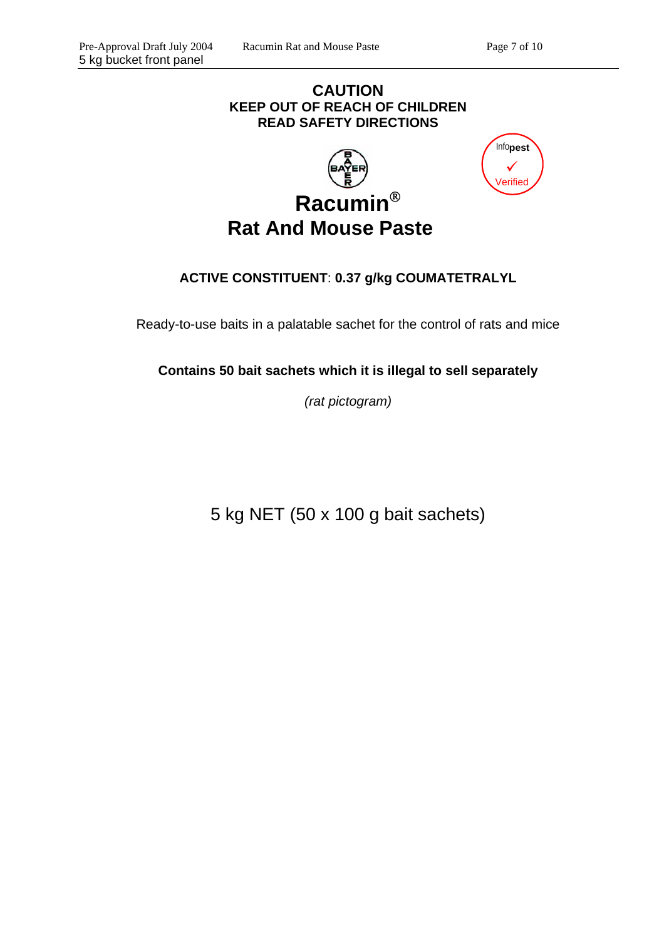#### **CAUTION KEEP OUT OF REACH OF CHILDREN READ SAFETY DIRECTIONS**





### **Racumin**® **Rat And Mouse Paste**

#### **ACTIVE CONSTITUENT**: **0.37 g/kg COUMATETRALYL**

Ready-to-use baits in a palatable sachet for the control of rats and mice

**Contains 50 bait sachets which it is illegal to sell separately**

*(rat pictogram)* 

5 kg NET (50 x 100 g bait sachets)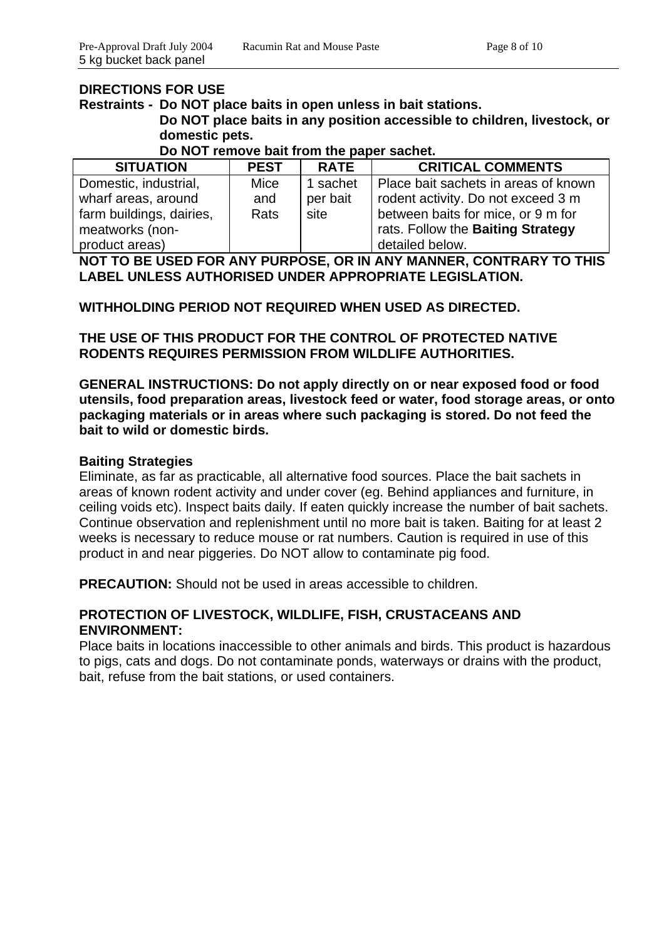#### **DIRECTIONS FOR USE Restraints - Do NOT place baits in open unless in bait stations. Do NOT place baits in any position accessible to children, livestock, or domestic pets. Do NOT remove bait from the paper sachet.**

| <b>PEST</b> | <b>RATE</b> | <b>CRITICAL COMMENTS</b>             |
|-------------|-------------|--------------------------------------|
| Mice        | 1 sachet    | Place bait sachets in areas of known |
| and         | per bait    | rodent activity. Do not exceed 3 m   |
| Rats        | site        | between baits for mice, or 9 m for   |
|             |             | rats. Follow the Baiting Strategy    |
|             |             | detailed below.                      |
|             |             |                                      |

**NOT TO BE USED FOR ANY PURPOSE, OR IN ANY MANNER, CONTRARY TO THIS LABEL UNLESS AUTHORISED UNDER APPROPRIATE LEGISLATION.** 

#### **WITHHOLDING PERIOD NOT REQUIRED WHEN USED AS DIRECTED.**

**THE USE OF THIS PRODUCT FOR THE CONTROL OF PROTECTED NATIVE RODENTS REQUIRES PERMISSION FROM WILDLIFE AUTHORITIES.** 

**GENERAL INSTRUCTIONS: Do not apply directly on or near exposed food or food utensils, food preparation areas, livestock feed or water, food storage areas, or onto packaging materials or in areas where such packaging is stored. Do not feed the bait to wild or domestic birds.** 

#### **Baiting Strategies**

Eliminate, as far as practicable, all alternative food sources. Place the bait sachets in areas of known rodent activity and under cover (eg. Behind appliances and furniture, in ceiling voids etc). Inspect baits daily. If eaten quickly increase the number of bait sachets. Continue observation and replenishment until no more bait is taken. Baiting for at least 2 weeks is necessary to reduce mouse or rat numbers. Caution is required in use of this product in and near piggeries. Do NOT allow to contaminate pig food.

**PRECAUTION:** Should not be used in areas accessible to children.

#### **PROTECTION OF LIVESTOCK, WILDLIFE, FISH, CRUSTACEANS AND ENVIRONMENT:**

Place baits in locations inaccessible to other animals and birds. This product is hazardous to pigs, cats and dogs. Do not contaminate ponds, waterways or drains with the product, bait, refuse from the bait stations, or used containers.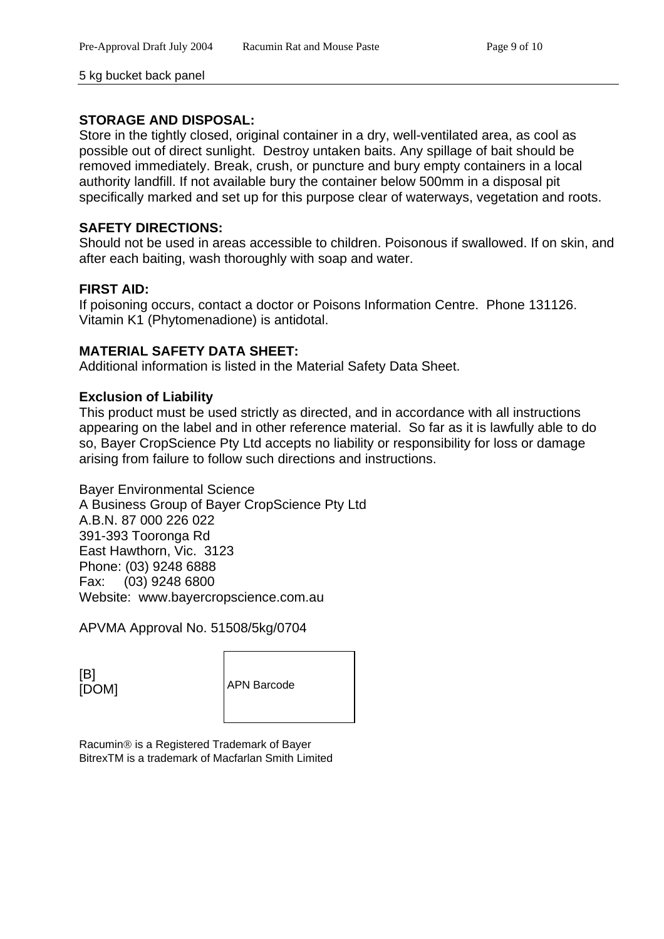#### 5 kg bucket back panel

#### **STORAGE AND DISPOSAL:**

Store in the tightly closed, original container in a dry, well-ventilated area, as cool as possible out of direct sunlight. Destroy untaken baits. Any spillage of bait should be removed immediately. Break, crush, or puncture and bury empty containers in a local authority landfill. If not available bury the container below 500mm in a disposal pit specifically marked and set up for this purpose clear of waterways, vegetation and roots.

#### **SAFETY DIRECTIONS:**

Should not be used in areas accessible to children. Poisonous if swallowed. If on skin, and after each baiting, wash thoroughly with soap and water.

#### **FIRST AID:**

If poisoning occurs, contact a doctor or Poisons Information Centre. Phone 131126. Vitamin K1 (Phytomenadione) is antidotal.

#### **MATERIAL SAFETY DATA SHEET:**

Additional information is listed in the Material Safety Data Sheet.

#### **Exclusion of Liability**

This product must be used strictly as directed, and in accordance with all instructions appearing on the label and in other reference material. So far as it is lawfully able to do so, Bayer CropScience Pty Ltd accepts no liability or responsibility for loss or damage arising from failure to follow such directions and instructions.

Bayer Environmental Science A Business Group of Bayer CropScience Pty Ltd A.B.N. 87 000 226 022 391-393 Tooronga Rd East Hawthorn, Vic. 3123 Phone: (03) 9248 6888 Fax: (03) 9248 6800 Website: www.bayercropscience.com.au

APVMA Approval No. 51508/5kg/0704



Racumin® is a Registered Trademark of Bayer BitrexTM is a trademark of Macfarlan Smith Limited